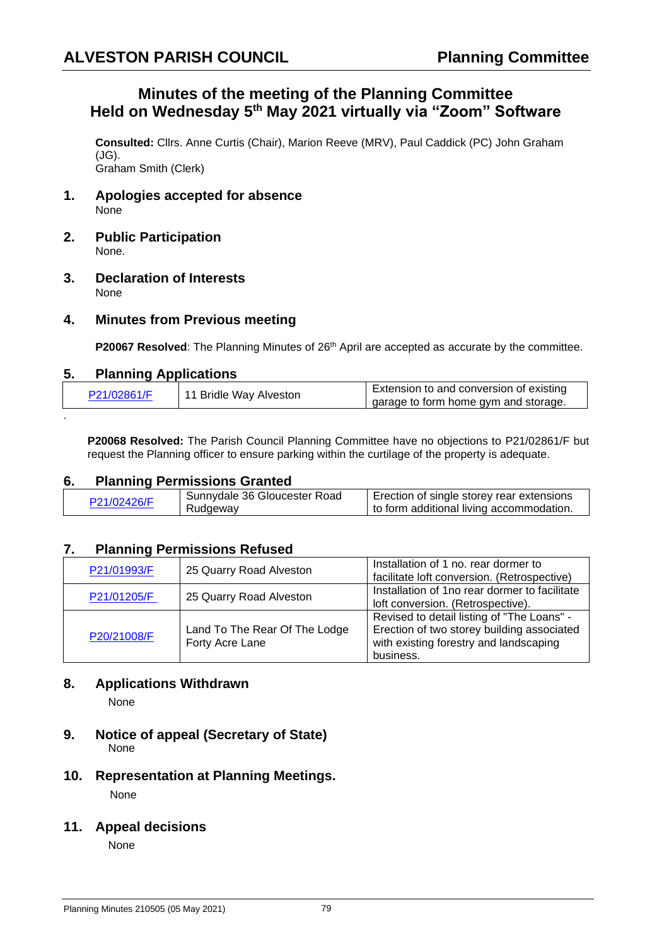## **Minutes of the meeting of the Planning Committee Held on Wednesday 5 th May 2021 virtually via "Zoom" Software**

**Consulted:** Cllrs. Anne Curtis (Chair), Marion Reeve (MRV), Paul Caddick (PC) John Graham (JG). Graham Smith (Clerk)

- **1. Apologies accepted for absence** None
- **2. Public Participation** None.
- **3. Declaration of Interests** None

## **4. Minutes from Previous meeting**

**P20067 Resolved**: The Planning Minutes of 26<sup>th</sup> April are accepted as accurate by the committee.

#### **5. Planning Applications**

.

| P21/02861/F | 11 Bridle Way Alveston | Extension to and conversion of existing |
|-------------|------------------------|-----------------------------------------|
|             |                        | garage to form home gym and storage.    |

**P20068 Resolved:** The Parish Council Planning Committee have no objections to P21/02861/F but request the Planning officer to ensure parking within the curtilage of the property is adequate.

#### **6. Planning Permissions Granted**

| P21/02426/F | Sunnydale 36 Gloucester Road | Erection of single storey rear extensions |
|-------------|------------------------------|-------------------------------------------|
|             | Rudgeway                     | to form additional living accommodation.  |
|             |                              |                                           |

#### **7. Planning Permissions Refused**

| P21/01993/F | 25 Quarry Road Alveston                          | Installation of 1 no. rear dormer to<br>facilitate loft conversion. (Retrospective)                                                             |
|-------------|--------------------------------------------------|-------------------------------------------------------------------------------------------------------------------------------------------------|
| P21/01205/F | 25 Quarry Road Alveston                          | Installation of 1no rear dormer to facilitate<br>loft conversion. (Retrospective).                                                              |
| P20/21008/F | Land To The Rear Of The Lodge<br>Forty Acre Lane | Revised to detail listing of "The Loans" -<br>Erection of two storey building associated<br>with existing forestry and landscaping<br>business. |

## **8. Applications Withdrawn**

None

- **9. Notice of appeal (Secretary of State)**  None
- **10. Representation at Planning Meetings.** None

# **11. Appeal decisions**

None